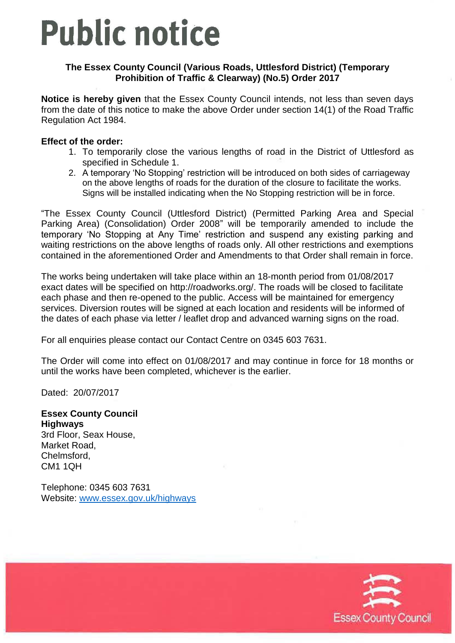# **Public notice**

### **The Essex County Council (Various Roads, Uttlesford District) (Temporary Prohibition of Traffic & Clearway) (No.5) Order 2017**

**Notice is hereby given** that the Essex County Council intends, not less than seven days from the date of this notice to make the above Order under section 14(1) of the Road Traffic Regulation Act 1984.

#### **Effect of the order:**

- 1. To temporarily close the various lengths of road in the District of Uttlesford as specified in Schedule 1.
- 2. A temporary 'No Stopping' restriction will be introduced on both sides of carriageway on the above lengths of roads for the duration of the closure to facilitate the works. Signs will be installed indicating when the No Stopping restriction will be in force.

"The Essex County Council (Uttlesford District) (Permitted Parking Area and Special Parking Area) (Consolidation) Order 2008" will be temporarily amended to include the temporary 'No Stopping at Any Time' restriction and suspend any existing parking and waiting restrictions on the above lengths of roads only. All other restrictions and exemptions contained in the aforementioned Order and Amendments to that Order shall remain in force.

The works being undertaken will take place within an 18-month period from 01/08/2017 exact dates will be specified on [http://roadworks.org/.](http://roadworks.org/) The roads will be closed to facilitate each phase and then re-opened to the public. Access will be maintained for emergency services. Diversion routes will be signed at each location and residents will be informed of the dates of each phase via letter / leaflet drop and advanced warning signs on the road.

For all enquiries please contact our Contact Centre on 0345 603 7631.

The Order will come into effect on 01/08/2017 and may continue in force for 18 months or until the works have been completed, whichever is the earlier.

Dated: 20/07/2017

**Essex County Council Highways** 3rd Floor, Seax House, Market Road, Chelmsford, CM1 1QH

Telephone: 0345 603 7631 Website: [www.essex.gov.uk/highways](http://www.essex.gov.uk/highways)

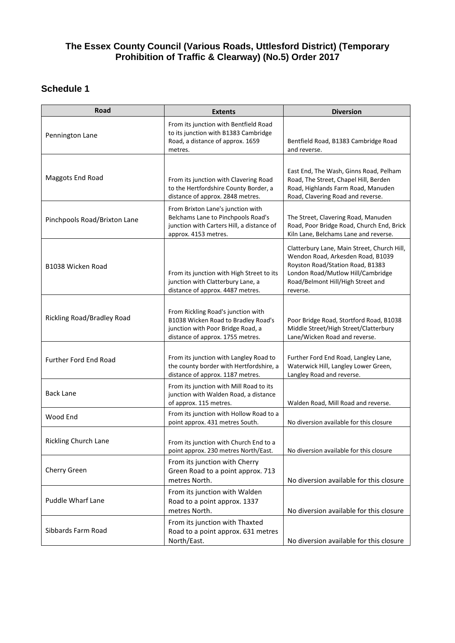#### **The Essex County Council (Various Roads, Uttlesford District) (Temporary Prohibition of Traffic & Clearway) (No.5) Order 2017**

## **Schedule 1**

| Road                         | <b>Extents</b>                                                                                                                                     | <b>Diversion</b>                                                                                                                                                                                           |
|------------------------------|----------------------------------------------------------------------------------------------------------------------------------------------------|------------------------------------------------------------------------------------------------------------------------------------------------------------------------------------------------------------|
| Pennington Lane              | From its junction with Bentfield Road<br>to its junction with B1383 Cambridge<br>Road, a distance of approx. 1659<br>metres.                       | Bentfield Road, B1383 Cambridge Road<br>and reverse.                                                                                                                                                       |
| Maggots End Road             | From its junction with Clavering Road<br>to the Hertfordshire County Border, a<br>distance of approx. 2848 metres.                                 | East End, The Wash, Ginns Road, Pelham<br>Road, The Street, Chapel Hill, Berden<br>Road, Highlands Farm Road, Manuden<br>Road, Clavering Road and reverse.                                                 |
| Pinchpools Road/Brixton Lane | From Brixton Lane's junction with<br>Belchams Lane to Pinchpools Road's<br>junction with Carters Hill, a distance of<br>approx. 4153 metres.       | The Street, Clavering Road, Manuden<br>Road, Poor Bridge Road, Church End, Brick<br>Kiln Lane, Belchams Lane and reverse.                                                                                  |
| B1038 Wicken Road            | From its junction with High Street to its<br>junction with Clatterbury Lane, a<br>distance of approx. 4487 metres.                                 | Clatterbury Lane, Main Street, Church Hill,<br>Wendon Road, Arkesden Road, B1039<br>Royston Road/Station Road, B1383<br>London Road/Mutlow Hill/Cambridge<br>Road/Belmont Hill/High Street and<br>reverse. |
| Rickling Road/Bradley Road   | From Rickling Road's junction with<br>B1038 Wicken Road to Bradley Road's<br>junction with Poor Bridge Road, a<br>distance of approx. 1755 metres. | Poor Bridge Road, Stortford Road, B1038<br>Middle Street/High Street/Clatterbury<br>Lane/Wicken Road and reverse.                                                                                          |
| <b>Further Ford End Road</b> | From its junction with Langley Road to<br>the county border with Hertfordshire, a<br>distance of approx. 1187 metres.                              | Further Ford End Road, Langley Lane,<br>Waterwick Hill, Langley Lower Green,<br>Langley Road and reverse.                                                                                                  |
| <b>Back Lane</b>             | From its junction with Mill Road to its<br>junction with Walden Road, a distance<br>of approx. 115 metres.                                         | Walden Road, Mill Road and reverse.                                                                                                                                                                        |
| Wood End                     | From its junction with Hollow Road to a<br>point approx. 431 metres South.                                                                         | No diversion available for this closure                                                                                                                                                                    |
| <b>Rickling Church Lane</b>  | From its junction with Church End to a<br>point approx. 230 metres North/East.                                                                     | No diversion available for this closure                                                                                                                                                                    |
| Cherry Green                 | From its junction with Cherry<br>Green Road to a point approx. 713<br>metres North.                                                                | No diversion available for this closure                                                                                                                                                                    |
| Puddle Wharf Lane            | From its junction with Walden<br>Road to a point approx. 1337<br>metres North.                                                                     | No diversion available for this closure                                                                                                                                                                    |
| Sibbards Farm Road           | From its junction with Thaxted<br>Road to a point approx. 631 metres<br>North/East.                                                                | No diversion available for this closure                                                                                                                                                                    |